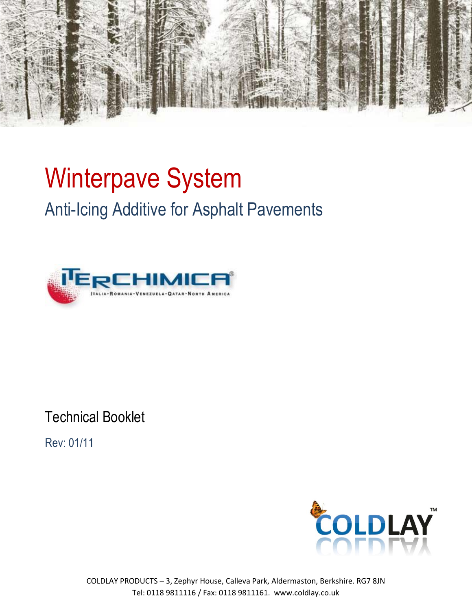

# Winterpave System Anti-Icing Additive for Asphalt Pavements



Technical Booklet

Rev: 01/11

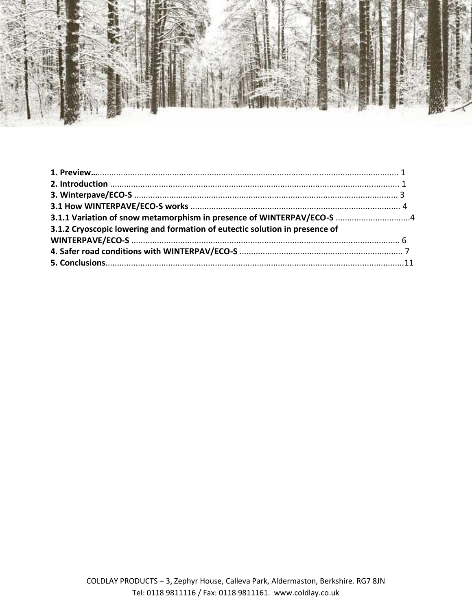

| 3.1.1 Variation of snow metamorphism in presence of WINTERPAV/ECO-S  4      |  |
|-----------------------------------------------------------------------------|--|
| 3.1.2 Cryoscopic lowering and formation of eutectic solution in presence of |  |
|                                                                             |  |
|                                                                             |  |
|                                                                             |  |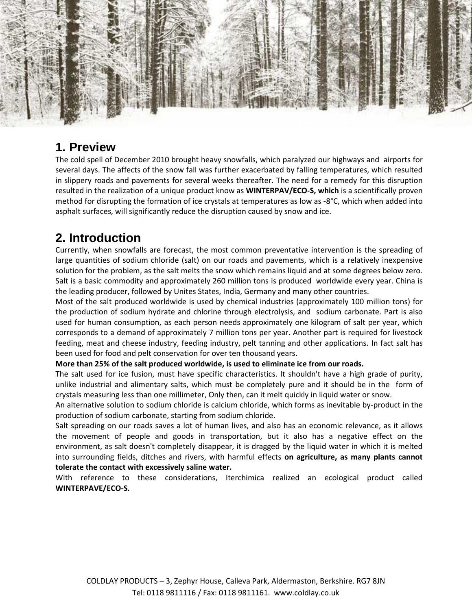

### **1. Preview**

The cold spell of December 2010 brought heavy snowfalls, which paralyzed our highways and airports for several days. The affects of the snow fall was further exacerbated by falling temperatures, which resulted in slippery roads and pavements for several weeks thereafter. The need for a remedy for this disruption resulted in the realization of a unique product know as **WINTERPAV/ECO-S, which** is a scientifically proven method for disrupting the formation of ice crystals at temperatures as low as -8°C, which when added into asphalt surfaces, will significantly reduce the disruption caused by snow and ice.

# **2. Introduction**

Currently, when snowfalls are forecast, the most common preventative intervention is the spreading of large quantities of sodium chloride (salt) on our roads and pavements, which is a relatively inexpensive solution for the problem, as the salt melts the snow which remains liquid and at some degrees below zero. Salt is a basic commodity and approximately 260 million tons is produced worldwide every year. China is the leading producer, followed by Unites States, India, Germany and many other countries.

Most of the salt produced worldwide is used by chemical industries (approximately 100 million tons) for the production of sodium hydrate and chlorine through electrolysis, and sodium carbonate. Part is also used for human consumption, as each person needs approximately one kilogram of salt per year, which corresponds to a demand of approximately 7 million tons per year. Another part is required for livestock feeding, meat and cheese industry, feeding industry, pelt tanning and other applications. In fact salt has been used for food and pelt conservation for over ten thousand years.

#### **More than 25% of the salt produced worldwide, is used to eliminate ice from our roads.**

The salt used for ice fusion, must have specific characteristics. It shouldn't have a high grade of purity, unlike industrial and alimentary salts, which must be completely pure and it should be in the form of crystals measuring less than one millimeter, Only then, can it melt quickly in liquid water or snow.

An alternative solution to sodium chloride is calcium chloride, which forms as inevitable by-product in the production of sodium carbonate, starting from sodium chloride.

Salt spreading on our roads saves a lot of human lives, and also has an economic relevance, as it allows the movement of people and goods in transportation, but it also has a negative effect on the environment, as salt doesn't completely disappear, it is dragged by the liquid water in which it is melted into surrounding fields, ditches and rivers, with harmful effects **on agriculture, as many plants cannot tolerate the contact with excessively saline water.**

With reference to these considerations, Iterchimica realized an ecological product called **WINTERPAVE/ECO-S.**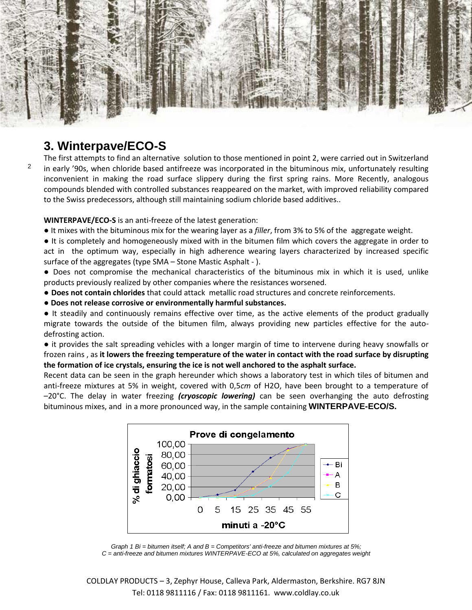

## **3. Winterpave/ECO-S**

2

The first attempts to find an alternative solution to those mentioned in point 2, were carried out in Switzerland in early '90s, when chloride based antifreeze was incorporated in the bituminous mix, unfortunately resulting inconvenient in making the road surface slippery during the first spring rains. More Recently, analogous compounds blended with controlled substances reappeared on the market, with improved reliability compared to the Swiss predecessors, although still maintaining sodium chloride based additives..

**WINTERPAVE/ECO-S** is an anti-freeze of the latest generation:

● It mixes with the bituminous mix for the wearing layer as a *filler*, from 3% to 5% of the aggregate weight.

● It is completely and homogeneously mixed with in the bitumen film which covers the aggregate in order to act in the optimum way, especially in high adherence wearing layers characterized by increased specific surface of the aggregates (type SMA – Stone Mastic Asphalt - ).

● Does not compromise the mechanical characteristics of the bituminous mix in which it is used, unlike products previously realized by other companies where the resistances worsened.

● **Does not contain chlorides** that could attack metallic road structures and concrete reinforcements.

● **Does not release corrosive or environmentally harmful substances.**

● It steadily and continuously remains effective over time, as the active elements of the product gradually migrate towards the outside of the bitumen film, always providing new particles effective for the autodefrosting action.

● it provides the salt spreading vehicles with a longer margin of time to intervene during heavy snowfalls or frozen rains , as **it lowers the freezing temperature of the water in contact with the road surface by disrupting the formation of ice crystals, ensuring the ice is not well anchored to the asphalt surface.**

Recent data can be seen in the graph hereunder which shows a laboratory test in which tiles of bitumen and anti-freeze mixtures at 5% in weight, covered with 0,5*cm* of H2O, have been brought to a temperature of –20°C. The delay in water freezing *(cryoscopic lowering)* can be seen overhanging the auto defrosting bituminous mixes, and in a more pronounced way, in the sample containing **WINTERPAVE-ECO/S.**



*Graph 1 Bi = bitumen itself; A and B = Competitors' anti-freeze and bitumen mixtures at 5%; C = anti-freeze and bitumen mixtures WINTERPAVE-ECO at 5%, calculated on aggregates weight*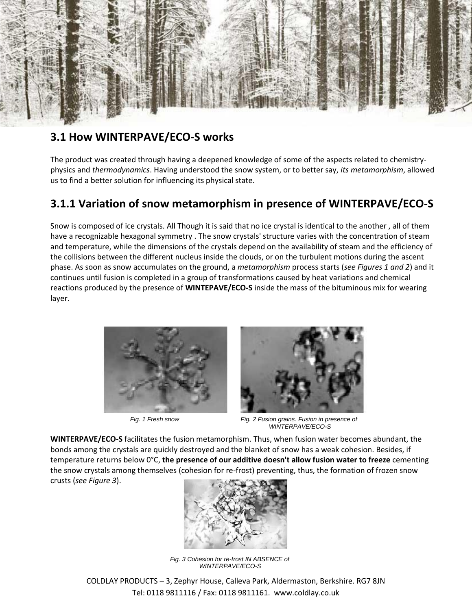

#### **3.1 How WINTERPAVE/ECO-S works**

The product was created through having a deepened knowledge of some of the aspects related to chemistryphysics and *thermodynamics*. Having understood the snow system, or to better say, *its metamorphism*, allowed us to find a better solution for influencing its physical state.

### **3.1.1 Variation of snow metamorphism in presence of WINTERPAVE/ECO-S**

Snow is composed of ice crystals. All Though it is said that no ice crystal is identical to the another , all of them have a recognizable hexagonal symmetry . The snow crystals' structure varies with the concentration of steam and temperature, while the dimensions of the crystals depend on the availability of steam and the efficiency of the collisions between the different nucleus inside the clouds, or on the turbulent motions during the ascent phase. As soon as snow accumulates on the ground, a *metamorphism* process starts (*see Figures 1 and 2*) and it continues until fusion is completed in a group of transformations caused by heat variations and chemical reactions produced by the presence of **WINTEPAVE/ECO-S** inside the mass of the bituminous mix for wearing layer.





 *Fig. 1 Fresh snow Fig. 2 Fusion grains. Fusion in presence of WINTERPAVE/ECO-S*

**WINTERPAVE/ECO-S** facilitates the fusion metamorphism. Thus, when fusion water becomes abundant, the bonds among the crystals are quickly destroyed and the blanket of snow has a weak cohesion. Besides, if temperature returns below 0°C, **the presence of our additive doesn't allow fusion water to freeze** cementing the snow crystals among themselves (cohesion for re-frost) preventing, thus, the formation of frozen snow crusts (*see Figure 3*).



 *Fig. 3 Cohesion for re-frost IN ABSENCE of WINTERPAVE/ECO-S*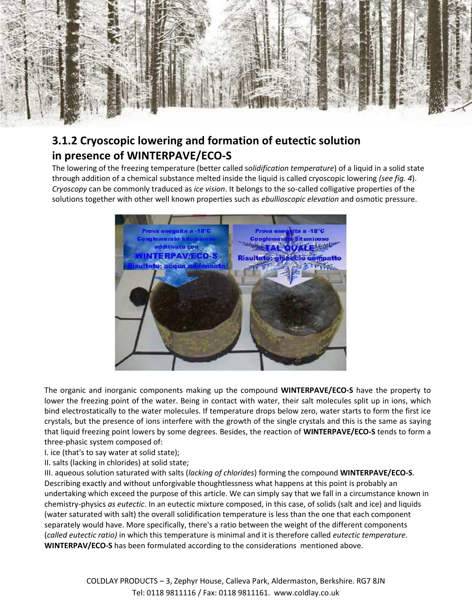

# **3.1.2 Cryoscopic lowering and formation of eutectic solution in presence of WINTERPAVE/ECO-S**

The lowering of the freezing temperature (better called s*olidification temperature*) of a liquid in a solid state through addition of a chemical substance melted inside the liquid is called cryoscopic lowering *(see fig. 4*). *Cryoscopy* can be commonly traduced as *ice vision*. It belongs to the so-called colligative properties of the solutions together with other well known properties such as *ebullioscopic elevation* and osmotic pressure.



The organic and inorganic components making up the compound **WINTERPAVE/ECO-S** have the property to lower the freezing point of the water. Being in contact with water, their salt molecules split up in ions, which bind electrostatically to the water molecules. If temperature drops below zero, water starts to form the first ice crystals, but the presence of ions interfere with the growth of the single crystals and this is the same as saying that liquid freezing point lowers by some degrees. Besides, the reaction of **WINTERPAVE/ECO-S** tends to form a three-phasic system composed of:

I. ice (that's to say water at solid state);

II. salts (lacking in chlorides) at solid state;

III. aqueous solution saturated with salts (*lacking of chlorides*) forming the compound **WINTERPAVE/ECO-S**. Describing exactly and without unforgivable thoughtlessness what happens at this point is probably an undertaking which exceed the purpose of this article. We can simply say that we fall in a circumstance known in chemistry-physics *as eutectic*. In an eutectic mixture composed, in this case, of solids (salt and ice) and liquids (water saturated with salt) the overall solidification temperature is less than the one that each component separately would have. More specifically, there's a ratio between the weight of the different components (*called eutectic ratio)* in which this temperature is minimal and it is therefore called *eutectic temperature*. **WINTERPAV/ECO-S** has been formulated according to the considerations mentioned above.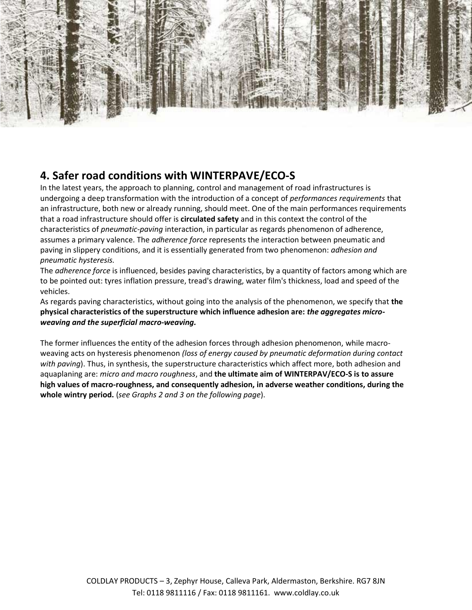

### **4. Safer road conditions with WINTERPAVE/ECO-S**

In the latest years, the approach to planning, control and management of road infrastructures is undergoing a deep transformation with the introduction of a concept of *performances requirements* that an infrastructure, both new or already running, should meet. One of the main performances requirements that a road infrastructure should offer is **circulated safety** and in this context the control of the characteristics of *pneumatic-paving* interaction, in particular as regards phenomenon of adherence, assumes a primary valence. The *adherence force* represents the interaction between pneumatic and paving in slippery conditions, and it is essentially generated from two phenomenon: *adhesion and pneumatic hysteresis.*

The *adherence force* is influenced, besides paving characteristics, by a quantity of factors among which are to be pointed out: tyres inflation pressure, tread's drawing, water film's thickness, load and speed of the vehicles.

As regards paving characteristics, without going into the analysis of the phenomenon, we specify that **the physical characteristics of the superstructure which influence adhesion are:** *the aggregates microweaving and the superficial macro-weaving.*

The former influences the entity of the adhesion forces through adhesion phenomenon, while macroweaving acts on hysteresis phenomenon *(loss of energy caused by pneumatic deformation during contact with paving*). Thus, in synthesis, the superstructure characteristics which affect more, both adhesion and aquaplaning are: *micro and macro roughness*, and **the ultimate aim of WINTERPAV/ECO-S is to assure high values of macro-roughness, and consequently adhesion, in adverse weather conditions, during the whole wintry period.** (*see Graphs 2 and 3 on the following page*).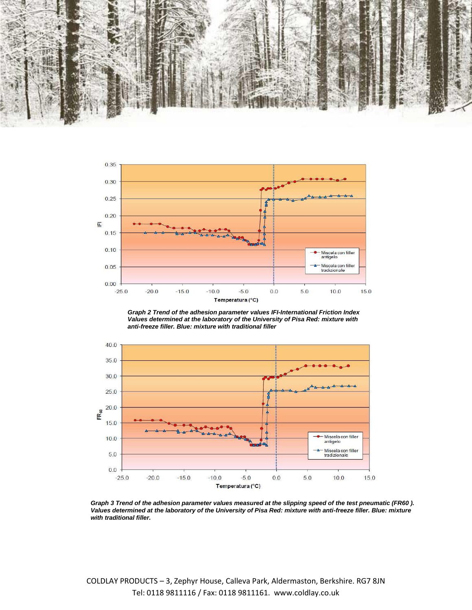



*Graph 2 Trend of the adhesion parameter values IFI-International Friction Index Values determined at the laboratory of the University of Pisa Red: mixture with anti-freeze filler. Blue: mixture with traditional filler*



*Graph 3 Trend of the adhesion parameter values measured at the slipping speed of the test pneumatic (FR60 ). Values determined at the laboratory of the University of Pisa Red: mixture with anti-freeze filler. Blue: mixture with traditional filler.*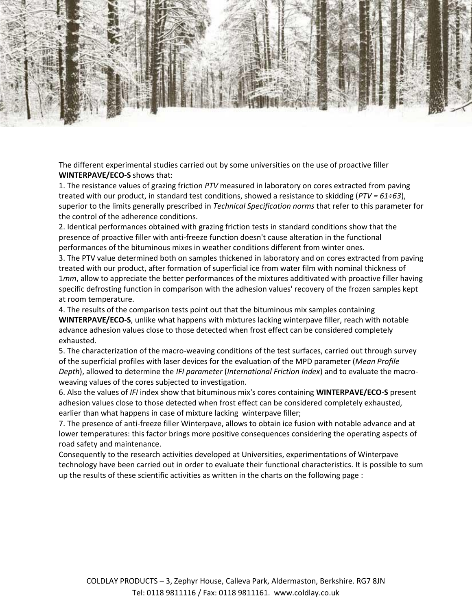

The different experimental studies carried out by some universities on the use of proactive filler **WINTERPAVE/ECO-S** shows that:

1. The resistance values of grazing friction *PTV* measured in laboratory on cores extracted from paving treated with our product, in standard test conditions, showed a resistance to skidding (*PTV = 61÷63*), superior to the limits generally prescribed in *Technical Specification norms* that refer to this parameter for the control of the adherence conditions.

2. Identical performances obtained with grazing friction tests in standard conditions show that the presence of proactive filler with anti-freeze function doesn't cause alteration in the functional performances of the bituminous mixes in weather conditions different from winter ones.

3. The PTV value determined both on samples thickened in laboratory and on cores extracted from paving treated with our product, after formation of superficial ice from water film with nominal thickness of 1*mm*, allow to appreciate the better performances of the mixtures additivated with proactive filler having specific defrosting function in comparison with the adhesion values' recovery of the frozen samples kept at room temperature.

4. The results of the comparison tests point out that the bituminous mix samples containing **WINTERPAVE/ECO-S**, unlike what happens with mixtures lacking winterpave filler, reach with notable advance adhesion values close to those detected when frost effect can be considered completely exhausted.

5. The characterization of the macro-weaving conditions of the test surfaces, carried out through survey of the superficial profiles with laser devices for the evaluation of the MPD parameter (*Mean Profile Depth*), allowed to determine the *IFI parameter* (*International Friction Index*) and to evaluate the macroweaving values of the cores subjected to investigation.

6. Also the values of *IFI* index show that bituminous mix's cores containing **WINTERPAVE/ECO-S** present adhesion values close to those detected when frost effect can be considered completely exhausted, earlier than what happens in case of mixture lacking winterpave filler;

7. The presence of anti-freeze filler Winterpave, allows to obtain ice fusion with notable advance and at lower temperatures: this factor brings more positive consequences considering the operating aspects of road safety and maintenance.

Consequently to the research activities developed at Universities, experimentations of Winterpave technology have been carried out in order to evaluate their functional characteristics. It is possible to sum up the results of these scientific activities as written in the charts on the following page :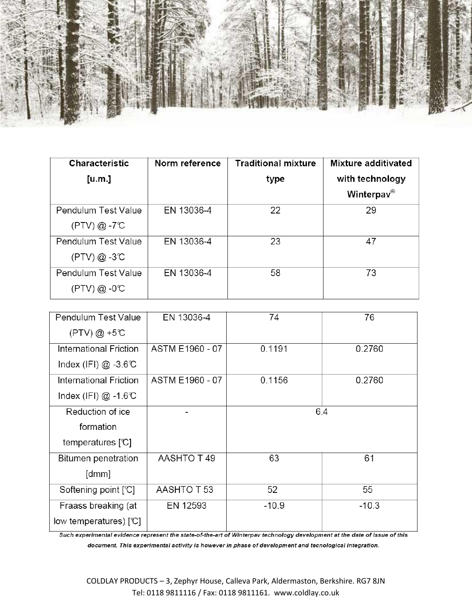

| <b>Characteristic</b> | Norm reference | <b>Traditional mixture</b> | <b>Mixture additivated</b> |
|-----------------------|----------------|----------------------------|----------------------------|
| [u.m.]                |                | type                       | with technology            |
|                       |                |                            | Winterpav <sup>®</sup>     |
| Pendulum Test Value   | EN 13036-4     | 22                         | 29                         |
| $(PTV) @ -7^{\circ}C$ |                |                            |                            |
| Pendulum Test Value   | EN 13036-4     | 23                         | 47                         |
| $(PTV) @ -3C$         |                |                            |                            |
| Pendulum Test Value   | EN 13036-4     | 58                         | 73                         |
| $(PTV)$ @ -0°C        |                |                            |                            |

| Pendulum Test Value                     | EN 13036-4      | 74      | 76      |
|-----------------------------------------|-----------------|---------|---------|
| $(PTV) @ +5^{\circ}C$                   |                 |         |         |
| International Friction                  | ASTM E1960 - 07 | 0.1191  | 0.2760  |
| Index (IFI) $@ -3.6C$                   |                 |         |         |
| International Friction                  | ASTM E1960 - 07 | 0.1156  | 0.2760  |
| Index (IFI) $@ -1.6C$                   |                 |         |         |
| Reduction of ice                        |                 | 6.4     |         |
| formation                               |                 |         |         |
| temperatures $\lceil \mathbb{C} \rceil$ |                 |         |         |
| Bitumen penetration                     | AASHTO T49      | 63      | 61      |
| [dmm]                                   |                 |         |         |
| Softening point [C]                     | AASHTO T 53     | 52      | 55      |
| Fraass breaking (at                     | EN 12593        | $-10.9$ | $-10.3$ |
| low temperatures) [C]                   |                 |         |         |

Such experimental evidence represent the state-of-the-art of Winterpav technology development at the date of issue of this document. This experimental activity is however in phase of development and tecnological integration.